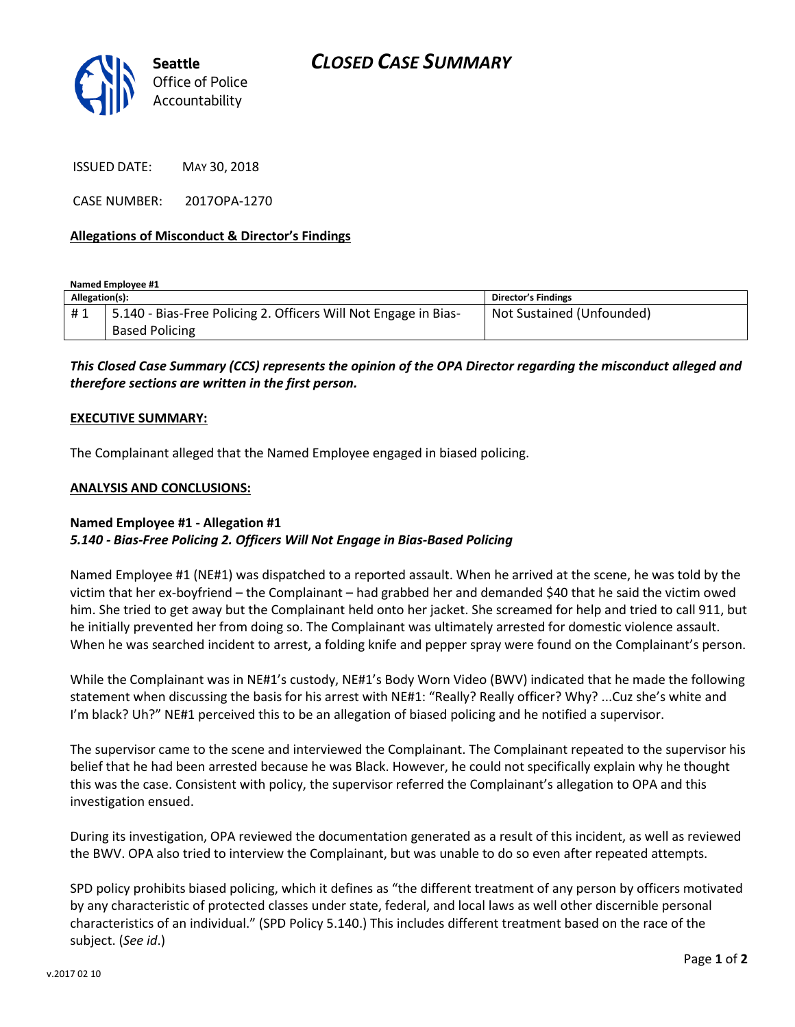

ISSUED DATE: MAY 30, 2018

CASE NUMBER: 2017OPA-1270

### **Allegations of Misconduct & Director's Findings**

**Named Employee #1**

| Allegation(s): |                                                                 | Director's Findings       |
|----------------|-----------------------------------------------------------------|---------------------------|
| #1             | 5.140 - Bias-Free Policing 2. Officers Will Not Engage in Bias- | Not Sustained (Unfounded) |
|                | <b>Based Policing</b>                                           |                           |

*This Closed Case Summary (CCS) represents the opinion of the OPA Director regarding the misconduct alleged and therefore sections are written in the first person.* 

### **EXECUTIVE SUMMARY:**

The Complainant alleged that the Named Employee engaged in biased policing.

### **ANALYSIS AND CONCLUSIONS:**

## **Named Employee #1 - Allegation #1** *5.140 - Bias-Free Policing 2. Officers Will Not Engage in Bias-Based Policing*

Named Employee #1 (NE#1) was dispatched to a reported assault. When he arrived at the scene, he was told by the victim that her ex-boyfriend – the Complainant – had grabbed her and demanded \$40 that he said the victim owed him. She tried to get away but the Complainant held onto her jacket. She screamed for help and tried to call 911, but he initially prevented her from doing so. The Complainant was ultimately arrested for domestic violence assault. When he was searched incident to arrest, a folding knife and pepper spray were found on the Complainant's person.

While the Complainant was in NE#1's custody, NE#1's Body Worn Video (BWV) indicated that he made the following statement when discussing the basis for his arrest with NE#1: "Really? Really officer? Why? ...Cuz she's white and I'm black? Uh?" NE#1 perceived this to be an allegation of biased policing and he notified a supervisor.

The supervisor came to the scene and interviewed the Complainant. The Complainant repeated to the supervisor his belief that he had been arrested because he was Black. However, he could not specifically explain why he thought this was the case. Consistent with policy, the supervisor referred the Complainant's allegation to OPA and this investigation ensued.

During its investigation, OPA reviewed the documentation generated as a result of this incident, as well as reviewed the BWV. OPA also tried to interview the Complainant, but was unable to do so even after repeated attempts.

SPD policy prohibits biased policing, which it defines as "the different treatment of any person by officers motivated by any characteristic of protected classes under state, federal, and local laws as well other discernible personal characteristics of an individual." (SPD Policy 5.140.) This includes different treatment based on the race of the subject. (*See id*.)